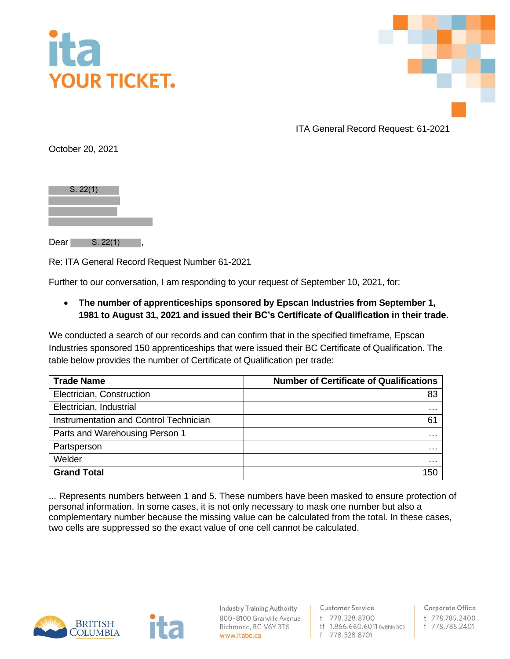



ITA General Record Request: 61-2021

October 20, 2021

| S. 22(1) |  |  |
|----------|--|--|
|          |  |  |
|          |  |  |
|          |  |  |
|          |  |  |

 $Dear$   $S. 22(1)$ ,

Re: ITA General Record Request Number 61-2021

Further to our conversation, I am responding to your request of September 10, 2021, for:

• **The number of apprenticeships sponsored by Epscan Industries from September 1, 1981 to August 31, 2021 and issued their BC's Certificate of Qualification in their trade.** 

We conducted a search of our records and can confirm that in the specified timeframe, Epscan Industries sponsored 150 apprenticeships that were issued their BC Certificate of Qualification. The table below provides the number of Certificate of Qualification per trade:

| <b>Trade Name</b>                      | <b>Number of Certificate of Qualifications</b> |  |
|----------------------------------------|------------------------------------------------|--|
| Electrician, Construction              | 83                                             |  |
| Electrician, Industrial                | $\cdots$                                       |  |
| Instrumentation and Control Technician | 61                                             |  |
| Parts and Warehousing Person 1         | $\cdots$                                       |  |
| Partsperson                            | $\cdots$                                       |  |
| Welder                                 | $\sim$ $\sim$ $\sim$                           |  |
| <b>Grand Total</b>                     | 150                                            |  |

... Represents numbers between 1 and 5. These numbers have been masked to ensure protection of personal information. In some cases, it is not only necessary to mask one number but also a complementary number because the missing value can be calculated from the total. In these cases, two cells are suppressed so the exact value of one cell cannot be calculated.



**Industry Training Authority** 800-8100 Granville Avenue Richmond, BC V6Y 3T6 www.itabc.ca

**Customer Service** t 778.328.8700 tf 1.866.660.6011 (within BC) f 778.328.8701

Corporate Office t 778.785.2400 f 778.785.2401